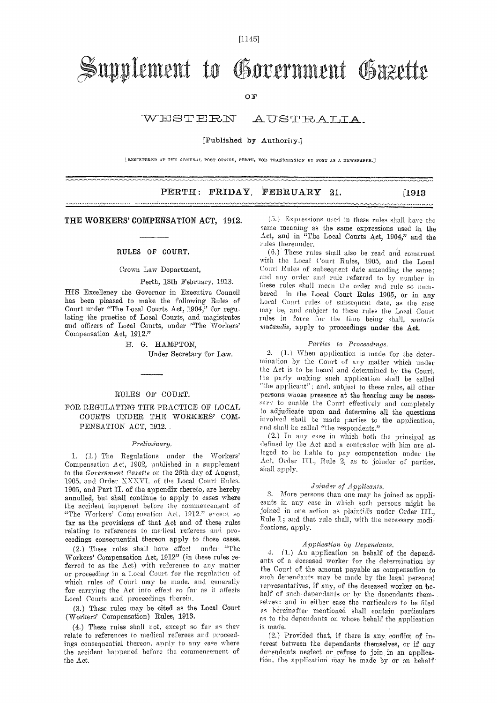[1145]

# Supplement to Government Gazette

OF

#### WESTERN AUSTRALIA.

#### [Published by Authority.]

IREGISTERED AT THE GENERAL POST OFFICE, PERTH, FOR TRANSMISSION BY POST AS A NEWSPAPER.]

## PERTH: FRIDAY, FEBRUARY 21. [1913]

#### THE WORKERS' COMPENSATION ACT, 1912.

#### RULES OF COURT,

Crown Law Department,

#### Perth, 18th February, 1.913.

ilinin adaptat 1742. Da sampain di Jacquese ja di Linux de Linux de Linux adaptat per del 20 anno 1993, a Cambradore<br>Altres del 1742

HIS Excellency the Governor in Executive Council has been pleased to make the following Rules of Court under "The Local Courts Act, 1904," for regulating the practice of Local Courts, and magistrates and officers of Local Courts, under "The Workers' Compensation Act, 1912."

> H. G. HAMPTON, Under Secretary for Law.

### RULES OF COURT.

### FOR REGULATING THE PRACTICE OF LOCAL COURTS UNDER THE WORKERS' COM-PENSATION ACT, 1912.

#### *Preliminary.*

*1.* (1.) The Regulations under the Workers' Compensation Act, 1902, published in a supplement to the *Government Gazette* on the 20th day of August, 1905, and Order XXXVI. of tie Local Court Rules. 1905, and Part II. of the appendix thereto, are hereby annulled, but shall continue to apply to cases where the accident happened before the commencement of "The Workers' Compensation Act. 1912." eveent so far as the provisions of that Act and of these rules relating to references to medical referees and proceedings consequential thereon apply to those cases.

(2.) These rules shall have effect under "The Workers' Compensation Act, 1912" (in these rules referred to as the Act) with reference to any matter or proceeding in a Local Court for the regulation of which rules of Court may be made, and generally for carrying the Act into effect so far as it affects Local Courts and proceedings therein.

(3.) These rules may be cited as the Local Court (Workers' Compensation) Rules, 1913.

(4.) These rules shall not, except so far as they relate to references to medical referees and proceedings consequential thereon, apply to any case where the accident happened before the commencement of the Act.

(5.) Expressions used in these rules shall have the same meaning as the same expressions used in the Aet, and in "The Local Courts Act, 1904," and the rules thereunder.

(6.).These rules shall also be read and construed with the Local Court Rules, 1905, and the Local Court Rules of subsequent date amending the same: and any order and rule referred to by number in these rules shall mean the order and rule so numbered in the Local Court Rules 1905, or in any Local Court rules of subsequent date, as the case limy be, and subject to these rules the Local Court rules in force for the time being shall, *mutatis mutandis,* apply to proceedings under the Act.

#### *Parties to Proceedings.*

3. (1.1 When application is made for the determination by the Court of any matter which under the Act is to be heard and determined by the Court, the party making• such application shall be called "the applicant"; and. subject to these rules, all other persons whose presence at the hearing may be necessary to enable the Court effectively and completely to adjudicate upon and determine all the questions involved shall be made parties to the application, and shall be called "the respondents."

(2.) In any case in which both the principal as defined by the Act and a contractor with him are alleged to be liable to pay compensation under the Act, Order Hi., Rule 2, as to joinder of parties, shall apply.

#### *.Joinder of Applicants.*

3. More persons than one may be joined as applicants in any case in which such persons might be joined in one action as plaintiffs under Order III., Rule 1; and that rule shall., with the necessary modifications, apply.

#### *Application by Dependants.*

4. (1.) An application on behalf of the dependants of a deceased worker for the determination by the Court of the amount payable as compensation to such dependants may be made by the legal personal representatives, if any, of the deceased worker on behalf of such dependants or by the dependants themselves: and in either case the particulars to be filed as hereinafter mentioned shall contain particulars as to the dependents on whose behalf the application is made.

(2.) Provided that, if there is any conflict of interest between the dependants themselves, or if any dependants neglect or refuse to join in an application. the application may be made by or on behalf